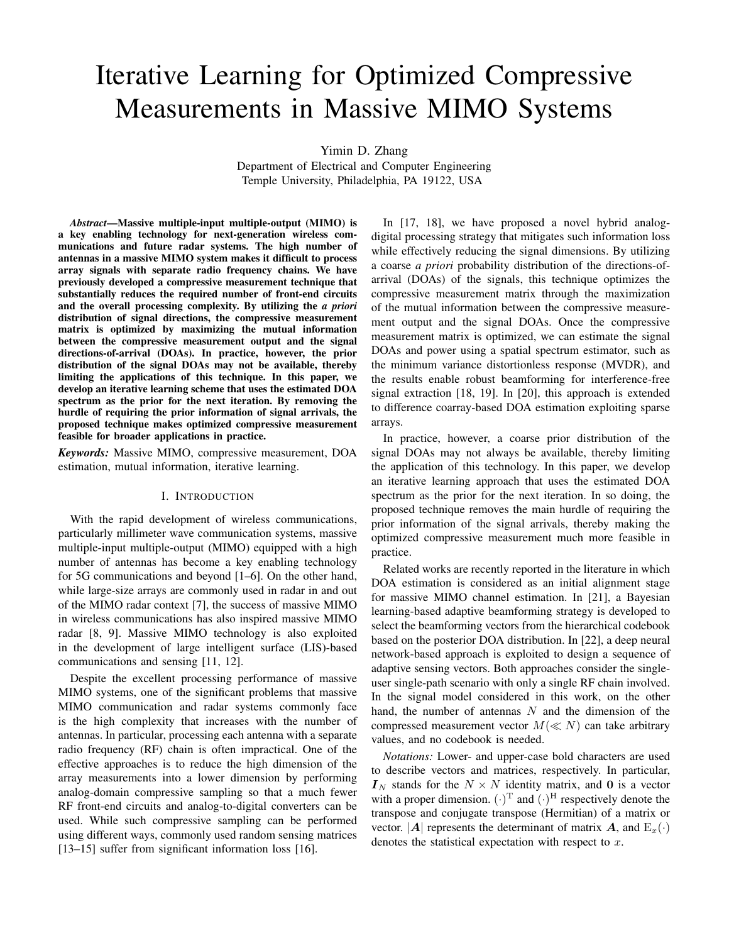# Iterative Learning for Optimized Compressive Measurements in Massive MIMO Systems

Yimin D. Zhang

Department of Electrical and Computer Engineering Temple University, Philadelphia, PA 19122, USA

*Abstract*—Massive multiple-input multiple-output (MIMO) is a key enabling technology for next-generation wireless communications and future radar systems. The high number of antennas in a massive MIMO system makes it difficult to process array signals with separate radio frequency chains. We have previously developed a compressive measurement technique that substantially reduces the required number of front-end circuits and the overall processing complexity. By utilizing the *a priori* distribution of signal directions, the compressive measurement matrix is optimized by maximizing the mutual information between the compressive measurement output and the signal directions-of-arrival (DOAs). In practice, however, the prior distribution of the signal DOAs may not be available, thereby limiting the applications of this technique. In this paper, we develop an iterative learning scheme that uses the estimated DOA spectrum as the prior for the next iteration. By removing the hurdle of requiring the prior information of signal arrivals, the proposed technique makes optimized compressive measurement feasible for broader applications in practice.

*Keywords:* Massive MIMO, compressive measurement, DOA estimation, mutual information, iterative learning.

## I. INTRODUCTION

With the rapid development of wireless communications, particularly millimeter wave communication systems, massive multiple-input multiple-output (MIMO) equipped with a high number of antennas has become a key enabling technology for 5G communications and beyond [1–6]. On the other hand, while large-size arrays are commonly used in radar in and out of the MIMO radar context [7], the success of massive MIMO in wireless communications has also inspired massive MIMO radar [8, 9]. Massive MIMO technology is also exploited in the development of large intelligent surface (LIS)-based communications and sensing [11, 12].

Despite the excellent processing performance of massive MIMO systems, one of the significant problems that massive MIMO communication and radar systems commonly face is the high complexity that increases with the number of antennas. In particular, processing each antenna with a separate radio frequency (RF) chain is often impractical. One of the effective approaches is to reduce the high dimension of the array measurements into a lower dimension by performing analog-domain compressive sampling so that a much fewer RF front-end circuits and analog-to-digital converters can be used. While such compressive sampling can be performed using different ways, commonly used random sensing matrices [13–15] suffer from significant information loss [16].

In [17, 18], we have proposed a novel hybrid analogdigital processing strategy that mitigates such information loss while effectively reducing the signal dimensions. By utilizing a coarse *a priori* probability distribution of the directions-ofarrival (DOAs) of the signals, this technique optimizes the compressive measurement matrix through the maximization of the mutual information between the compressive measurement output and the signal DOAs. Once the compressive measurement matrix is optimized, we can estimate the signal DOAs and power using a spatial spectrum estimator, such as the minimum variance distortionless response (MVDR), and the results enable robust beamforming for interference-free signal extraction [18, 19]. In [20], this approach is extended to difference coarray-based DOA estimation exploiting sparse arrays.

In practice, however, a coarse prior distribution of the signal DOAs may not always be available, thereby limiting the application of this technology. In this paper, we develop an iterative learning approach that uses the estimated DOA spectrum as the prior for the next iteration. In so doing, the proposed technique removes the main hurdle of requiring the prior information of the signal arrivals, thereby making the optimized compressive measurement much more feasible in practice.

Related works are recently reported in the literature in which DOA estimation is considered as an initial alignment stage for massive MIMO channel estimation. In [21], a Bayesian learning-based adaptive beamforming strategy is developed to select the beamforming vectors from the hierarchical codebook based on the posterior DOA distribution. In [22], a deep neural network-based approach is exploited to design a sequence of adaptive sensing vectors. Both approaches consider the singleuser single-path scenario with only a single RF chain involved. In the signal model considered in this work, on the other hand, the number of antennas  $N$  and the dimension of the compressed measurement vector  $M(\ll N)$  can take arbitrary values, and no codebook is needed.

*Notations:* Lower- and upper-case bold characters are used to describe vectors and matrices, respectively. In particular,  $I_N$  stands for the  $N \times N$  identity matrix, and 0 is a vector with a proper dimension.  $(\cdot)^T$  and  $(\cdot)^H$  respectively denote the transpose and conjugate transpose (Hermitian) of a matrix or vector.  $|\mathbf{A}|$  represents the determinant of matrix  $\mathbf{A}$ , and  $\mathbf{E}_x(\cdot)$ denotes the statistical expectation with respect to  $x$ .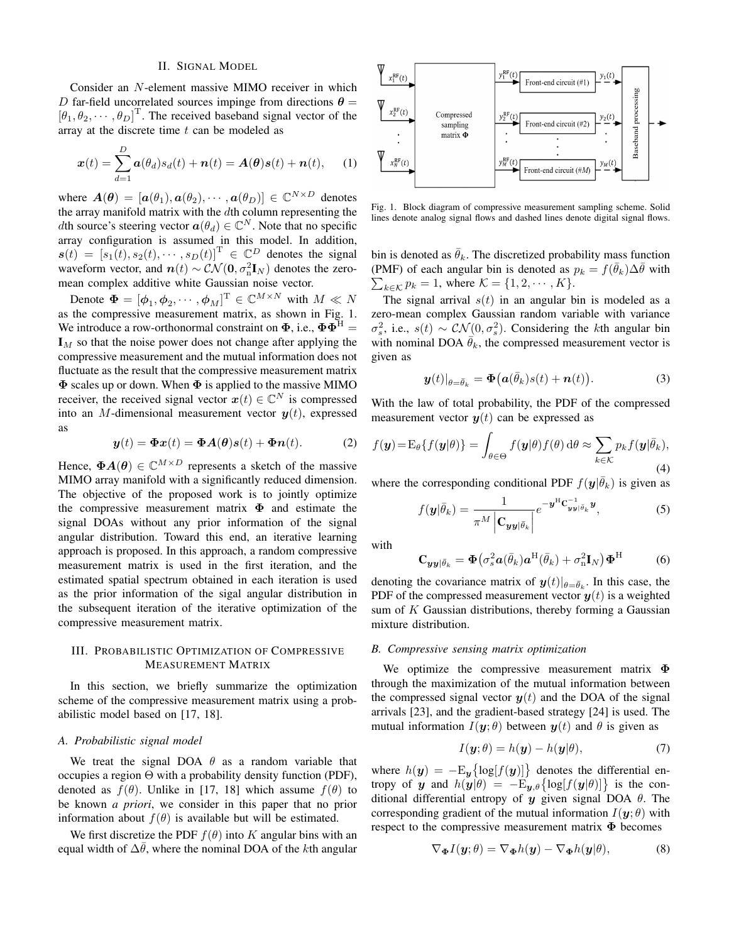## II. SIGNAL MODEL

Consider an N-element massive MIMO receiver in which D far-field uncorrelated sources impinge from directions  $\theta =$  $\left[\theta_1, \theta_2, \cdots, \theta_D\right]^{\text{T}}$ . The received baseband signal vector of the array at the discrete time  $t$  can be modeled as

$$
\boldsymbol{x}(t) = \sum_{d=1}^{D} \boldsymbol{a}(\theta_d) s_d(t) + \boldsymbol{n}(t) = \boldsymbol{A}(\boldsymbol{\theta}) \boldsymbol{s}(t) + \boldsymbol{n}(t), \qquad (1)
$$

where  $A(\theta) = [a(\theta_1), a(\theta_2), \cdots, a(\theta_D)] \in \mathbb{C}^{N \times D}$  denotes the array manifold matrix with the dth column representing the *dth* source's steering vector  $a(\theta_d) \in \mathbb{C}^N$ . Note that no specific array configuration is assumed in this model. In addition,  $s(t) = [s_1(t), s_2(t), \cdots, s_D(t)]^{\mathrm{T}} \in \mathbb{C}^D$  denotes the signal waveform vector, and  $n(t) \sim \mathcal{CN}(\mathbf{0}, \sigma_n^2 \mathbf{I}_N)$  denotes the zeromean complex additive white Gaussian noise vector.

Denote  $\mathbf{\Phi} = [\phi_1, \phi_2, \cdots, \phi_M]^\mathrm{T} \in \mathbb{C}^{M \times N}$  with  $M \ll N$ as the compressive measurement matrix, as shown in Fig. 1. We introduce a row-orthonormal constraint on  $\Phi$ , i.e.,  $\Phi \Phi^H =$  $I_M$  so that the noise power does not change after applying the compressive measurement and the mutual information does not fluctuate as the result that the compressive measurement matrix  $\Phi$  scales up or down. When  $\Phi$  is applied to the massive MIMO receiver, the received signal vector  $x(t) \in \mathbb{C}^N$  is compressed into an M-dimensional measurement vector  $y(t)$ , expressed as

$$
\mathbf{y}(t) = \mathbf{\Phi} \mathbf{x}(t) = \mathbf{\Phi} \mathbf{A}(\boldsymbol{\theta}) \mathbf{s}(t) + \mathbf{\Phi} \mathbf{n}(t). \tag{2}
$$

Hence,  $\Phi A(\theta) \in \mathbb{C}^{M \times D}$  represents a sketch of the massive MIMO array manifold with a significantly reduced dimension. The objective of the proposed work is to jointly optimize the compressive measurement matrix  $\Phi$  and estimate the signal DOAs without any prior information of the signal angular distribution. Toward this end, an iterative learning approach is proposed. In this approach, a random compressive measurement matrix is used in the first iteration, and the estimated spatial spectrum obtained in each iteration is used as the prior information of the sigal angular distribution in the subsequent iteration of the iterative optimization of the compressive measurement matrix.

# III. PROBABILISTIC OPTIMIZATION OF COMPRESSIVE MEASUREMENT MATRIX

In this section, we briefly summarize the optimization scheme of the compressive measurement matrix using a probabilistic model based on [17, 18].

### *A. Probabilistic signal model*

We treat the signal DOA  $\theta$  as a random variable that occupies a region Θ with a probability density function (PDF), denoted as  $f(\theta)$ . Unlike in [17, 18] which assume  $f(\theta)$  to be known *a priori*, we consider in this paper that no prior information about  $f(\theta)$  is available but will be estimated.

We first discretize the PDF  $f(\theta)$  into K angular bins with an equal width of  $\Delta\bar{\theta}$ , where the nominal DOA of the kth angular



Fig. 1. Block diagram of compressive measurement sampling scheme. Solid lines denote analog signal flows and dashed lines denote digital signal flows.

bin is denoted as  $\bar{\theta}_k$ . The discretized probability mass function (PMF) of each angular bin is denoted as  $p_k = f(\bar{\theta}_k) \Delta \bar{\theta}$  with  $\sum_{k \in \mathcal{K}} p_k = 1$ , where  $\mathcal{K} = \{1, 2, \cdots, K\}.$ 

The signal arrival  $s(t)$  in an angular bin is modeled as a zero-mean complex Gaussian random variable with variance  $\sigma_s^2$ , i.e.,  $s(t) \sim \mathcal{CN}(0, \sigma_s^2)$ . Considering the kth angular bin with nominal DOA  $\bar{\theta}_k$ , the compressed measurement vector is given as

$$
\boldsymbol{y}(t)|_{\theta=\bar{\theta}_k} = \boldsymbol{\Phi}\big(\boldsymbol{a}(\bar{\theta}_k)s(t)+\boldsymbol{n}(t)\big). \tag{3}
$$

With the law of total probability, the PDF of the compressed measurement vector  $y(t)$  can be expressed as

$$
f(\mathbf{y}) = \mathbf{E}_{\theta} \{ f(\mathbf{y}|\theta) \} = \int_{\theta \in \Theta} f(\mathbf{y}|\theta) f(\theta) \, d\theta \approx \sum_{k \in \mathcal{K}} p_k f(\mathbf{y}|\bar{\theta}_k),
$$
\n(4)

where the corresponding conditional PDF  $f(\mathbf{y}|\bar{\theta}_k)$  is given as

$$
f(\mathbf{y}|\bar{\theta}_k) = \frac{1}{\pi^M \left| \mathbf{C}_{\mathbf{y}\mathbf{y}|\bar{\theta}_k} \right|} e^{-\mathbf{y}^{\mathrm{H}} \mathbf{C}_{\mathbf{y}\mathbf{y}|\bar{\theta}_k}^{-1} \mathbf{y}}, \tag{5}
$$

with

$$
\mathbf{C}_{\mathbf{y}\mathbf{y}|\bar{\theta}_{k}} = \mathbf{\Phi}\big(\sigma_{s}^{2}\mathbf{a}(\bar{\theta}_{k})\mathbf{a}^{\mathrm{H}}(\bar{\theta}_{k}) + \sigma_{n}^{2}\mathbf{I}_{N}\big)\mathbf{\Phi}^{\mathrm{H}}
$$
 (6)

denoting the covariance matrix of  $\boldsymbol{y}(t)|_{\theta = \bar{\theta}_k}$ . In this case, the PDF of the compressed measurement vector  $y(t)$  is a weighted sum of  $K$  Gaussian distributions, thereby forming a Gaussian mixture distribution.

## *B. Compressive sensing matrix optimization*

We optimize the compressive measurement matrix Φ through the maximization of the mutual information between the compressed signal vector  $y(t)$  and the DOA of the signal arrivals [23], and the gradient-based strategy [24] is used. The mutual information  $I(\mathbf{y}; \theta)$  between  $\mathbf{y}(t)$  and  $\theta$  is given as

$$
I(\mathbf{y};\theta) = h(\mathbf{y}) - h(\mathbf{y}|\theta), \tag{7}
$$

where  $h(\mathbf{y}) = -\mathrm{E}_{\mathbf{y}}\left\{ \log[f(\mathbf{y})] \right\}$  denotes the differential entropy of y and  $h(y|\theta) = -\mathbb{E}_{y,\theta} \{ \log[f(y|\theta)] \}$  is the conditional differential entropy of  $y$  given signal DOA  $\theta$ . The corresponding gradient of the mutual information  $I(\mathbf{y};\theta)$  with respect to the compressive measurement matrix Φ becomes

$$
\nabla_{\mathbf{\Phi}} I(\mathbf{y}; \theta) = \nabla_{\mathbf{\Phi}} h(\mathbf{y}) - \nabla_{\mathbf{\Phi}} h(\mathbf{y}|\theta), \tag{8}
$$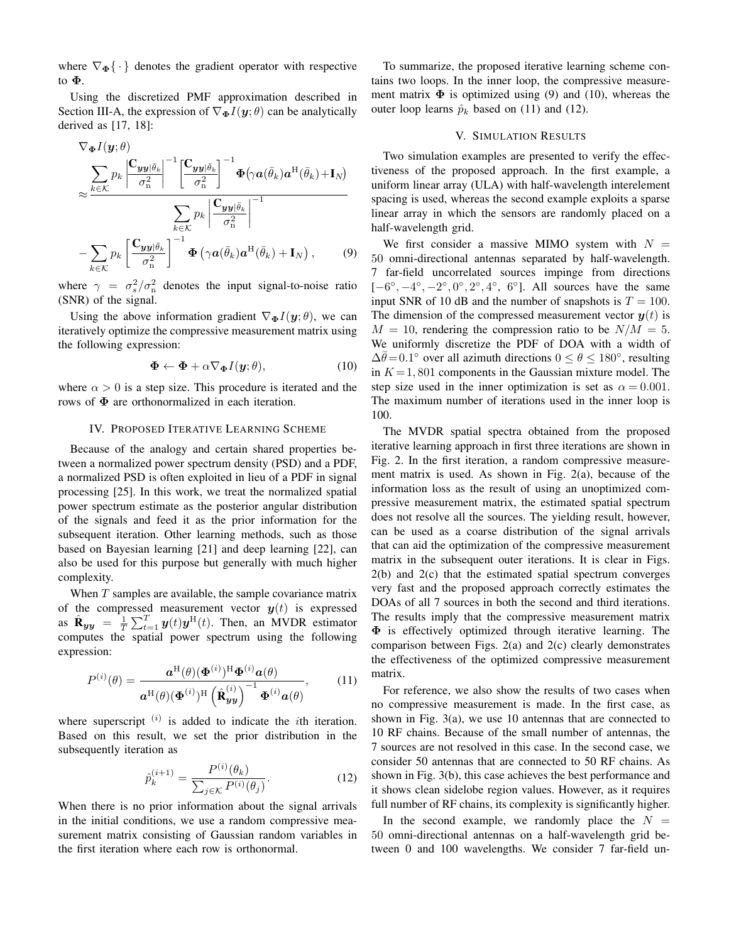where  $\nabla_{\Phi} \{\cdot\}$  denotes the gradient operator with respective to Φ.

Using the discretized PMF approximation described in Section III-A, the expression of  $\nabla_{\Phi} I(\mathbf{y}; \theta)$  can be analytically derived as [17, 18]:

$$
\nabla_{\boldsymbol{\Phi}} I(\mathbf{y}; \theta) \n\approx \frac{\sum_{k \in \mathcal{K}} p_k \left| \frac{\mathbf{C}_{\mathbf{y}\mathbf{y}} |\bar{\theta}_k}{\sigma_n^2} \right|^{-1} \left[ \frac{\mathbf{C}_{\mathbf{y}\mathbf{y}} |\bar{\theta}_k}{\sigma_n^2} \right]^{-1} \boldsymbol{\Phi} \left( \gamma \boldsymbol{a} (\bar{\theta}_k) \boldsymbol{a}^{\mathrm{H}} (\bar{\theta}_k) + \mathbf{I}_N \right) \n\approx \frac{\sum_{k \in \mathcal{K}} p_k \left| \frac{\mathbf{C}_{\mathbf{y}\mathbf{y}} |\bar{\theta}_k}{\sigma_n^2} \right|^{-1}}{\sigma_n^2} \n- \sum_{k \in \mathcal{K}} p_k \left[ \frac{\mathbf{C}_{\mathbf{y}\mathbf{y}} |\bar{\theta}_k}{\sigma_n^2} \right]^{-1} \boldsymbol{\Phi} \left( \gamma \boldsymbol{a} (\bar{\theta}_k) \boldsymbol{a}^{\mathrm{H}} (\bar{\theta}_k) + \mathbf{I}_N \right),
$$
\n(9)

where  $\gamma = \sigma_s^2/\sigma_n^2$  denotes the input signal-to-noise ratio (SNR) of the signal.

Using the above information gradient  $\nabla_{\Phi} I(\mathbf{y}; \theta)$ , we can iteratively optimize the compressive measurement matrix using the following expression:

$$
\mathbf{\Phi} \leftarrow \mathbf{\Phi} + \alpha \nabla_{\mathbf{\Phi}} I(\mathbf{y}; \theta), \tag{10}
$$

where  $\alpha > 0$  is a step size. This procedure is iterated and the rows of  $\Phi$  are orthonormalized in each iteration.

### IV. PROPOSED ITERATIVE LEARNING SCHEME

Because of the analogy and certain shared properties between a normalized power spectrum density (PSD) and a PDF, a normalized PSD is often exploited in lieu of a PDF in signal processing [25]. In this work, we treat the normalized spatial power spectrum estimate as the posterior angular distribution of the signals and feed it as the prior information for the subsequent iteration. Other learning methods, such as those based on Bayesian learning [21] and deep learning [22], can also be used for this purpose but generally with much higher complexity.

When  $T$  samples are available, the sample covariance matrix of the compressed measurement vector  $y(t)$  is expressed as  $\hat{\mathbf{R}}_{yy} = \frac{1}{T} \sum_{t=1}^{T} y(t)y^{H}(t)$ . Then, an MVDR estimator computes the spatial power spectrum using the following expression:

$$
P^{(i)}(\theta) = \frac{\mathbf{a}^{\mathrm{H}}(\theta)(\mathbf{\Phi}^{(i)})^{\mathrm{H}}\mathbf{\Phi}^{(i)}\mathbf{a}(\theta)}{\mathbf{a}^{\mathrm{H}}(\theta)(\mathbf{\Phi}^{(i)})^{\mathrm{H}}(\hat{\mathbf{R}}_{\mathbf{yy}}^{(i)})^{-1}\mathbf{\Phi}^{(i)}\mathbf{a}(\theta)},\qquad(11)
$$

where superscript  $(i)$  is added to indicate the *i*th iteration. Based on this result, we set the prior distribution in the subsequently iteration as

$$
\hat{p}_k^{(i+1)} = \frac{P^{(i)}(\theta_k)}{\sum_{j \in \mathcal{K}} P^{(i)}(\theta_j)}.
$$
\n(12)

When there is no prior information about the signal arrivals in the initial conditions, we use a random compressive measurement matrix consisting of Gaussian random variables in the first iteration where each row is orthonormal.

To summarize, the proposed iterative learning scheme contains two loops. In the inner loop, the compressive measurement matrix  $\Phi$  is optimized using (9) and (10), whereas the outer loop learns  $\hat{p}_k$  based on (11) and (12).

## V. SIMULATION RESULTS

Two simulation examples are presented to verify the effectiveness of the proposed approach. In the first example, a uniform linear array (ULA) with half-wavelength interelement spacing is used, whereas the second example exploits a sparse linear array in which the sensors are randomly placed on a half-wavelength grid.

We first consider a massive MIMO system with  $N =$ 50 omni-directional antennas separated by half-wavelength. 7 far-field uncorrelated sources impinge from directions  $[-6^{\circ}, -4^{\circ}, -2^{\circ}, 0^{\circ}, 2^{\circ}, 4^{\circ}, 6^{\circ}]$ . All sources have the same input SNR of 10 dB and the number of snapshots is  $T = 100$ . The dimension of the compressed measurement vector  $y(t)$  is  $M = 10$ , rendering the compression ratio to be  $N/M = 5$ . We uniformly discretize the PDF of DOA with a width of  $\Delta \bar{\theta} = 0.1^{\circ}$  over all azimuth directions  $0 \le \theta \le 180^{\circ}$ , resulting in  $K = 1,801$  components in the Gaussian mixture model. The step size used in the inner optimization is set as  $\alpha = 0.001$ . The maximum number of iterations used in the inner loop is 100.

The MVDR spatial spectra obtained from the proposed iterative learning approach in first three iterations are shown in Fig. 2. In the first iteration, a random compressive measurement matrix is used. As shown in Fig. 2(a), because of the information loss as the result of using an unoptimized compressive measurement matrix, the estimated spatial spectrum does not resolve all the sources. The yielding result, however, can be used as a coarse distribution of the signal arrivals that can aid the optimization of the compressive measurement matrix in the subsequent outer iterations. It is clear in Figs. 2(b) and 2(c) that the estimated spatial spectrum converges very fast and the proposed approach correctly estimates the DOAs of all 7 sources in both the second and third iterations. The results imply that the compressive measurement matrix Φ is effectively optimized through iterative learning. The comparison between Figs. 2(a) and 2(c) clearly demonstrates the effectiveness of the optimized compressive measurement matrix.

For reference, we also show the results of two cases when no compressive measurement is made. In the first case, as shown in Fig. 3(a), we use 10 antennas that are connected to 10 RF chains. Because of the small number of antennas, the 7 sources are not resolved in this case. In the second case, we consider 50 antennas that are connected to 50 RF chains. As shown in Fig. 3(b), this case achieves the best performance and it shows clean sidelobe region values. However, as it requires full number of RF chains, its complexity is significantly higher.

In the second example, we randomly place the  $N =$ 50 omni-directional antennas on a half-wavelength grid between 0 and 100 wavelengths. We consider 7 far-field un-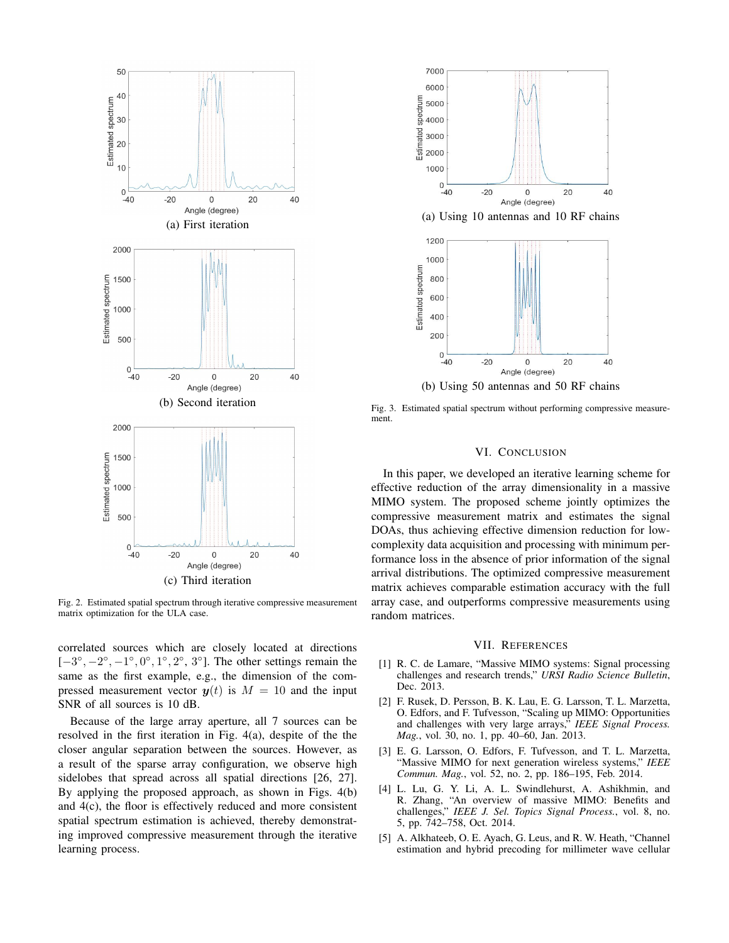

Fig. 2. Estimated spatial spectrum through iterative compressive measurement matrix optimization for the ULA case.

correlated sources which are closely located at directions  $[-3^\circ, -2^\circ, -1^\circ, 0^\circ, 1^\circ, 2^\circ, 3^\circ]$ . The other settings remain the same as the first example, e.g., the dimension of the compressed measurement vector  $y(t)$  is  $M = 10$  and the input SNR of all sources is 10 dB.

Because of the large array aperture, all 7 sources can be resolved in the first iteration in Fig. 4(a), despite of the the closer angular separation between the sources. However, as a result of the sparse array configuration, we observe high sidelobes that spread across all spatial directions [26, 27]. By applying the proposed approach, as shown in Figs. 4(b) and 4(c), the floor is effectively reduced and more consistent spatial spectrum estimation is achieved, thereby demonstrating improved compressive measurement through the iterative learning process.



Fig. 3. Estimated spatial spectrum without performing compressive measurement.

# VI. CONCLUSION

In this paper, we developed an iterative learning scheme for effective reduction of the array dimensionality in a massive MIMO system. The proposed scheme jointly optimizes the compressive measurement matrix and estimates the signal DOAs, thus achieving effective dimension reduction for lowcomplexity data acquisition and processing with minimum performance loss in the absence of prior information of the signal arrival distributions. The optimized compressive measurement matrix achieves comparable estimation accuracy with the full array case, and outperforms compressive measurements using random matrices.

#### VII. REFERENCES

- [1] R. C. de Lamare, "Massive MIMO systems: Signal processing challenges and research trends," *URSI Radio Science Bulletin*, Dec. 2013.
- [2] F. Rusek, D. Persson, B. K. Lau, E. G. Larsson, T. L. Marzetta, O. Edfors, and F. Tufvesson, "Scaling up MIMO: Opportunities and challenges with very large arrays," *IEEE Signal Process. Mag.*, vol. 30, no. 1, pp. 40–60, Jan. 2013.
- [3] E. G. Larsson, O. Edfors, F. Tufvesson, and T. L. Marzetta, "Massive MIMO for next generation wireless systems," *IEEE Commun. Mag.*, vol. 52, no. 2, pp. 186–195, Feb. 2014.
- [4] L. Lu, G. Y. Li, A. L. Swindlehurst, A. Ashikhmin, and R. Zhang, "An overview of massive MIMO: Benefits and challenges," *IEEE J. Sel. Topics Signal Process.*, vol. 8, no. 5, pp. 742–758, Oct. 2014.
- [5] A. Alkhateeb, O. E. Ayach, G. Leus, and R. W. Heath, "Channel estimation and hybrid precoding for millimeter wave cellular